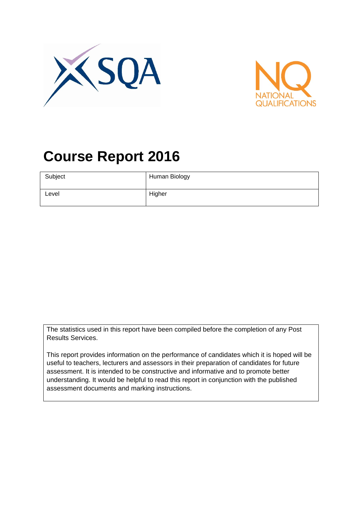



# **Course Report 2016**

| Subject | Human Biology |
|---------|---------------|
| Level   | Higher        |

The statistics used in this report have been compiled before the completion of any Post Results Services.

This report provides information on the performance of candidates which it is hoped will be useful to teachers, lecturers and assessors in their preparation of candidates for future assessment. It is intended to be constructive and informative and to promote better understanding. It would be helpful to read this report in conjunction with the published assessment documents and marking instructions.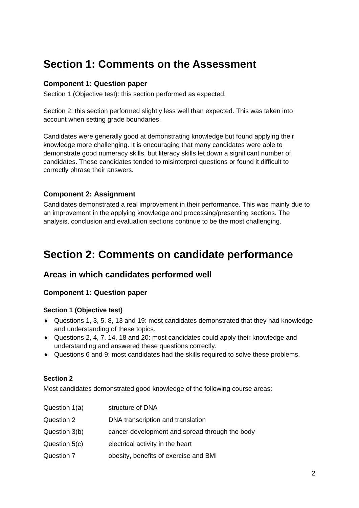# **Section 1: Comments on the Assessment**

#### **Component 1: Question paper**

Section 1 (Objective test): this section performed as expected.

Section 2: this section performed slightly less well than expected. This was taken into account when setting grade boundaries.

Candidates were generally good at demonstrating knowledge but found applying their knowledge more challenging. It is encouraging that many candidates were able to demonstrate good numeracy skills, but literacy skills let down a significant number of candidates. These candidates tended to misinterpret questions or found it difficult to correctly phrase their answers.

### **Component 2: Assignment**

Candidates demonstrated a real improvement in their performance. This was mainly due to an improvement in the applying knowledge and processing/presenting sections. The analysis, conclusion and evaluation sections continue to be the most challenging.

# **Section 2: Comments on candidate performance**

# **Areas in which candidates performed well**

#### **Component 1: Question paper**

#### **Section 1 (Objective test)**

- Questions 1, 3, 5, 8, 13 and 19: most candidates demonstrated that they had knowledge and understanding of these topics.
- Questions 2, 4, 7, 14, 18 and 20: most candidates could apply their knowledge and understanding and answered these questions correctly.
- Questions 6 and 9: most candidates had the skills required to solve these problems.

#### **Section 2**

Most candidates demonstrated good knowledge of the following course areas:

| Question 1(a) | structure of DNA                               |
|---------------|------------------------------------------------|
| Question 2    | DNA transcription and translation              |
| Question 3(b) | cancer development and spread through the body |
| Question 5(c) | electrical activity in the heart               |
| Question 7    | obesity, benefits of exercise and BMI          |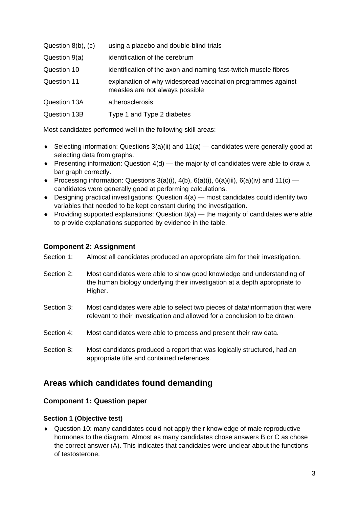| Question $8(b)$ , $(c)$ | using a placebo and double-blind trials                                                         |
|-------------------------|-------------------------------------------------------------------------------------------------|
| Question 9(a)           | identification of the cerebrum                                                                  |
| Question 10             | identification of the axon and naming fast-twitch muscle fibres                                 |
| Question 11             | explanation of why widespread vaccination programmes against<br>measles are not always possible |
| Question 13A            | atherosclerosis                                                                                 |
| Question 13B            | Type 1 and Type 2 diabetes                                                                      |

Most candidates performed well in the following skill areas:

- $\bullet$  Selecting information: Questions 3(a)(ii) and 11(a) candidates were generally good at selecting data from graphs.
- $\bullet$  Presenting information: Question 4(d) the majority of candidates were able to draw a bar graph correctly.
- Processing information: Questions 3(a)(i), 4(b), 6(a)(i), 6(a)(iii), 6(a)(iv) and 11(c) candidates were generally good at performing calculations.
- ◆ Designing practical investigations: Question 4(a) most candidates could identify two variables that needed to be kept constant during the investigation.
- $\bullet$  Providing supported explanations: Question 8(a) the majority of candidates were able to provide explanations supported by evidence in the table.

#### **Component 2: Assignment**

- Section 1: Almost all candidates produced an appropriate aim for their investigation.
- Section 2: Most candidates were able to show good knowledge and understanding of the human biology underlying their investigation at a depth appropriate to Higher.
- Section 3: Most candidates were able to select two pieces of data/information that were relevant to their investigation and allowed for a conclusion to be drawn.
- Section 4: Most candidates were able to process and present their raw data.
- Section 8: Most candidates produced a report that was logically structured, had an appropriate title and contained references.

# **Areas which candidates found demanding**

#### **Component 1: Question paper**

#### **Section 1 (Objective test)**

 Question 10: many candidates could not apply their knowledge of male reproductive hormones to the diagram. Almost as many candidates chose answers B or C as chose the correct answer (A). This indicates that candidates were unclear about the functions of testosterone.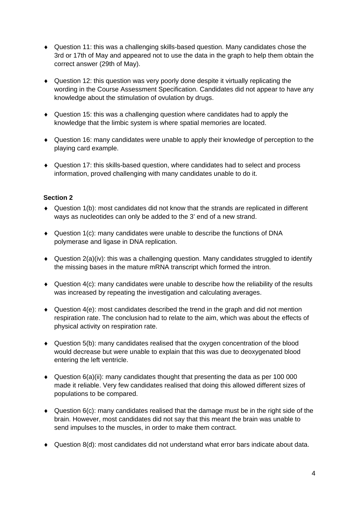- Question 11: this was a challenging skills-based question. Many candidates chose the 3rd or 17th of May and appeared not to use the data in the graph to help them obtain the correct answer (29th of May).
- Question 12: this question was very poorly done despite it virtually replicating the wording in the Course Assessment Specification. Candidates did not appear to have any knowledge about the stimulation of ovulation by drugs.
- Question 15: this was a challenging question where candidates had to apply the knowledge that the limbic system is where spatial memories are located.
- Question 16: many candidates were unable to apply their knowledge of perception to the playing card example.
- Question 17: this skills-based question, where candidates had to select and process information, proved challenging with many candidates unable to do it.

#### **Section 2**

- Question 1(b): most candidates did not know that the strands are replicated in different ways as nucleotides can only be added to the 3' end of a new strand.
- Question 1(c): many candidates were unable to describe the functions of DNA polymerase and ligase in DNA replication.
- $\triangleq$  Question 2(a)(iv): this was a challenging question. Many candidates struggled to identify the missing bases in the mature mRNA transcript which formed the intron.
- $\bullet$  Question 4(c): many candidates were unable to describe how the reliability of the results was increased by repeating the investigation and calculating averages.
- $\bullet$  Question 4(e): most candidates described the trend in the graph and did not mention respiration rate. The conclusion had to relate to the aim, which was about the effects of physical activity on respiration rate.
- $\triangleleft$  Question 5(b): many candidates realised that the oxygen concentration of the blood would decrease but were unable to explain that this was due to deoxygenated blood entering the left ventricle.
- $\blacklozenge$  Question 6(a)(ii): many candidates thought that presenting the data as per 100 000 made it reliable. Very few candidates realised that doing this allowed different sizes of populations to be compared.
- $\bullet$  Question 6(c): many candidates realised that the damage must be in the right side of the brain. However, most candidates did not say that this meant the brain was unable to send impulses to the muscles, in order to make them contract.
- Question 8(d): most candidates did not understand what error bars indicate about data.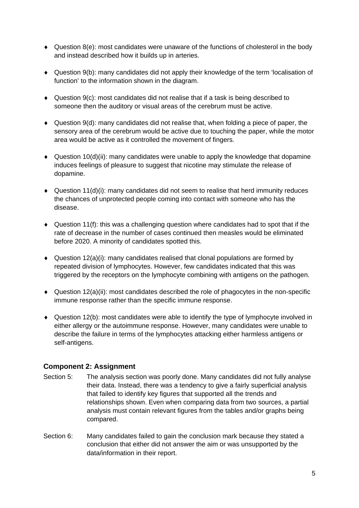- $\blacklozenge$  Question 8(e): most candidates were unaware of the functions of cholesterol in the body and instead described how it builds up in arteries.
- Question 9(b): many candidates did not apply their knowledge of the term 'localisation of function' to the information shown in the diagram.
- Question 9(c): most candidates did not realise that if a task is being described to someone then the auditory or visual areas of the cerebrum must be active.
- $\bullet$  Question 9(d): many candidates did not realise that, when folding a piece of paper, the sensory area of the cerebrum would be active due to touching the paper, while the motor area would be active as it controlled the movement of fingers.
- $\triangleq$  Question 10(d)(ii): many candidates were unable to apply the knowledge that dopamine induces feelings of pleasure to suggest that nicotine may stimulate the release of dopamine.
- $\bullet$  Question 11(d)(i): many candidates did not seem to realise that herd immunity reduces the chances of unprotected people coming into contact with someone who has the disease.
- $\bullet$  Question 11(f): this was a challenging question where candidates had to spot that if the rate of decrease in the number of cases continued then measles would be eliminated before 2020. A minority of candidates spotted this.
- $\triangleq$  Question 12(a)(i): many candidates realised that clonal populations are formed by repeated division of lymphocytes. However, few candidates indicated that this was triggered by the receptors on the lymphocyte combining with antigens on the pathogen.
- $\triangleleft$  Question 12(a)(ii): most candidates described the role of phagocytes in the non-specific immune response rather than the specific immune response.
- Question 12(b): most candidates were able to identify the type of lymphocyte involved in either allergy or the autoimmune response. However, many candidates were unable to describe the failure in terms of the lymphocytes attacking either harmless antigens or self-antigens.

### **Component 2: Assignment**

- Section 5: The analysis section was poorly done. Many candidates did not fully analyse their data. Instead, there was a tendency to give a fairly superficial analysis that failed to identify key figures that supported all the trends and relationships shown. Even when comparing data from two sources, a partial analysis must contain relevant figures from the tables and/or graphs being compared.
- Section 6: Many candidates failed to gain the conclusion mark because they stated a conclusion that either did not answer the aim or was unsupported by the data/information in their report.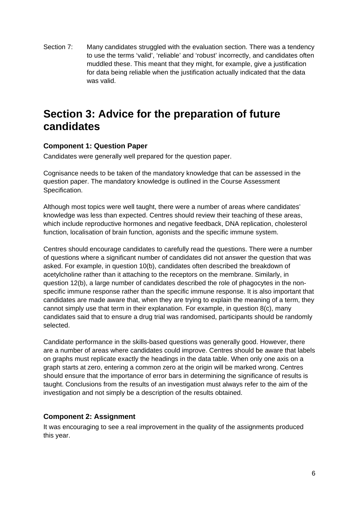Section 7: Many candidates struggled with the evaluation section. There was a tendency to use the terms 'valid', 'reliable' and 'robust' incorrectly, and candidates often muddled these. This meant that they might, for example, give a justification for data being reliable when the justification actually indicated that the data was valid.

# **Section 3: Advice for the preparation of future candidates**

### **Component 1: Question Paper**

Candidates were generally well prepared for the question paper.

Cognisance needs to be taken of the mandatory knowledge that can be assessed in the question paper. The mandatory knowledge is outlined in the Course Assessment Specification.

Although most topics were well taught, there were a number of areas where candidates' knowledge was less than expected. Centres should review their teaching of these areas, which include reproductive hormones and negative feedback, DNA replication, cholesterol function, localisation of brain function, agonists and the specific immune system.

Centres should encourage candidates to carefully read the questions. There were a number of questions where a significant number of candidates did not answer the question that was asked. For example, in question 10(b), candidates often described the breakdown of acetylcholine rather than it attaching to the receptors on the membrane. Similarly, in question 12(b), a large number of candidates described the role of phagocytes in the nonspecific immune response rather than the specific immune response. It is also important that candidates are made aware that, when they are trying to explain the meaning of a term, they cannot simply use that term in their explanation. For example, in question 8(c), many candidates said that to ensure a drug trial was randomised, participants should be randomly selected.

Candidate performance in the skills-based questions was generally good. However, there are a number of areas where candidates could improve. Centres should be aware that labels on graphs must replicate exactly the headings in the data table. When only one axis on a graph starts at zero, entering a common zero at the origin will be marked wrong. Centres should ensure that the importance of error bars in determining the significance of results is taught. Conclusions from the results of an investigation must always refer to the aim of the investigation and not simply be a description of the results obtained.

### **Component 2: Assignment**

It was encouraging to see a real improvement in the quality of the assignments produced this year.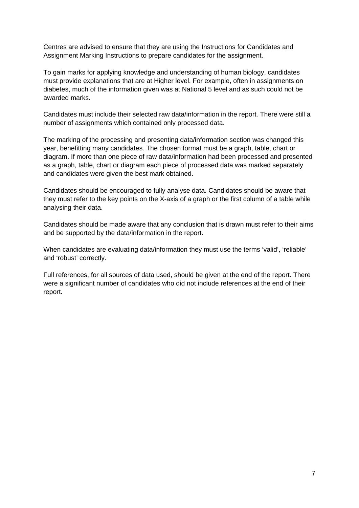Centres are advised to ensure that they are using the Instructions for Candidates and Assignment Marking Instructions to prepare candidates for the assignment.

To gain marks for applying knowledge and understanding of human biology, candidates must provide explanations that are at Higher level. For example, often in assignments on diabetes, much of the information given was at National 5 level and as such could not be awarded marks.

Candidates must include their selected raw data/information in the report. There were still a number of assignments which contained only processed data.

The marking of the processing and presenting data/information section was changed this year, benefitting many candidates. The chosen format must be a graph, table, chart or diagram. If more than one piece of raw data/information had been processed and presented as a graph, table, chart or diagram each piece of processed data was marked separately and candidates were given the best mark obtained.

Candidates should be encouraged to fully analyse data. Candidates should be aware that they must refer to the key points on the X-axis of a graph or the first column of a table while analysing their data.

Candidates should be made aware that any conclusion that is drawn must refer to their aims and be supported by the data/information in the report.

When candidates are evaluating data/information they must use the terms 'valid', 'reliable' and 'robust' correctly.

Full references, for all sources of data used, should be given at the end of the report. There were a significant number of candidates who did not include references at the end of their report.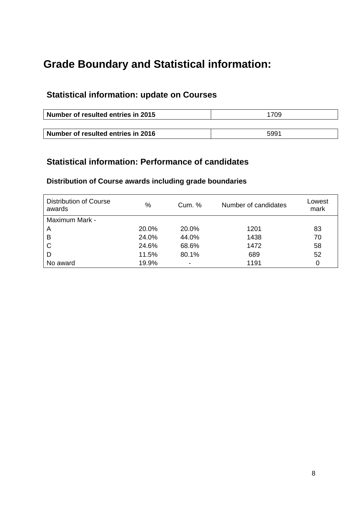# **Grade Boundary and Statistical information:**

# **Statistical information: update on Courses**

| Number of resulted entries in 2015 | 1709 |
|------------------------------------|------|
|                                    |      |
| Number of resulted entries in 2016 | 5991 |

# **Statistical information: Performance of candidates**

## **Distribution of Course awards including grade boundaries**

| Distribution of Course<br>awards | %     | Cum. %                   | Number of candidates | Lowest<br>mark |
|----------------------------------|-------|--------------------------|----------------------|----------------|
| Maximum Mark -                   |       |                          |                      |                |
| $\overline{A}$                   | 20.0% | 20.0%                    | 1201                 | 83             |
| $\overline{B}$                   | 24.0% | 44.0%                    | 1438                 | 70             |
| C                                | 24.6% | 68.6%                    | 1472                 | 58             |
| D                                | 11.5% | 80.1%                    | 689                  | 52             |
| No award                         | 19.9% | $\overline{\phantom{0}}$ | 1191                 | 0              |